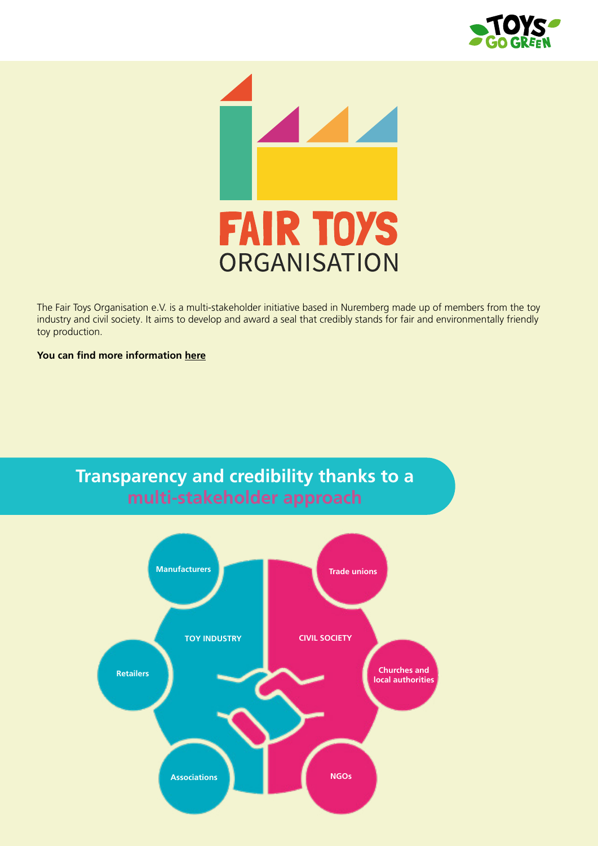



The Fair Toys Organisation e.V. is a multi-stakeholder initiative based in Nuremberg made up of members from the toy industry and civil society. It aims to develop and award a seal that credibly stands for fair and environmentally friendly toy production.

**You can find more information [here](https://www.fair-toys.org/images/fto/docs/fairtoysorg_2020_brochure_en.pdf)**



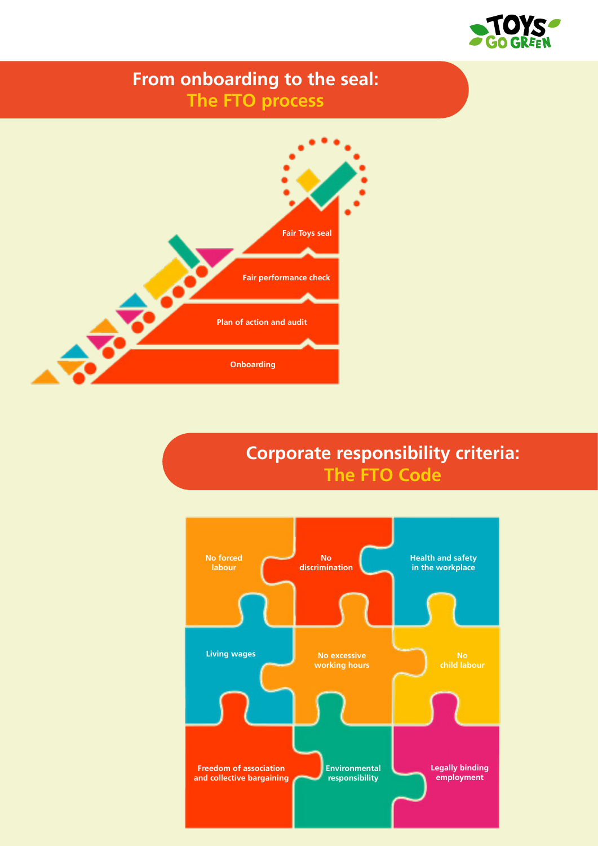

# **From onboarding to the seal: The FTO process**



## **Corporate responsibility criteria: The FTO Code**